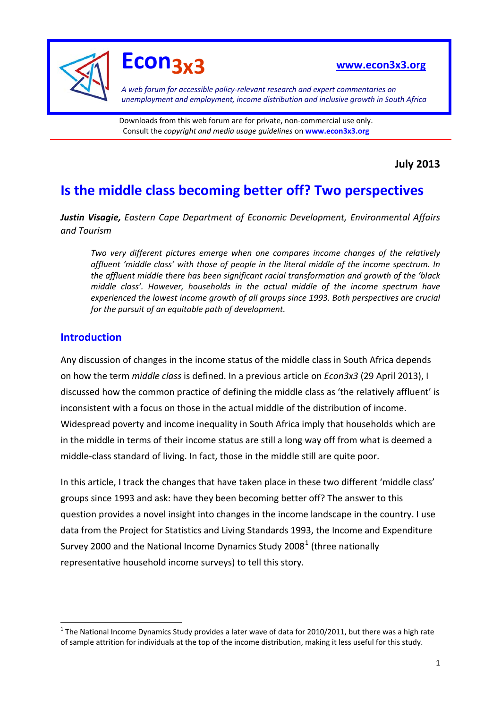

# **Econ3x3 [www.econ3x3.org](http://www.econ3x3.org/)**

*A web forum for accessible policy‐relevant research and expert commentaries on unemployment and employment, income distribution and inclusive growth in South Africa*

Downloads from this web forum are for private, non‐commercial use only. Consult the *copyright and media usage guidelines* on **www.econ3x3.org**

**July 2013**

## **Is the middle class becoming better off? Two perspectives**

*Justin Visagie, Eastern Cape Department of Economic Development, Environmental Affairs and Tourism*

*Two very different pictures emerge when one compares income changes of the relatively affluent 'middle class' with those of people in the literal middle of the income spectrum. In the affluent middle there has been significant racial transformation and growth of the 'black middle class'. However, households in the actual middle of the income spectrum have experienced the lowest income growth of all groups since 1993. Both perspectives are crucial for the pursuit of an equitable path of development.* 

#### **Introduction**

Any discussion of changes in the income status of the middle class in South Africa depends on how the term *middle class* is defined. In a previous article on *Econ3x3* (29 April 2013), I discussed how the common practice of defining the middle class as 'the relatively affluent' is inconsistent with a focus on those in the actual middle of the distribution of income. Widespread poverty and income inequality in South Africa imply that households which are in the middle in terms of their income status are still a long way off from what is deemed a middle‐class standard of living. In fact, those in the middle still are quite poor.

In this article, I track the changes that have taken place in these two different 'middle class' groups since 1993 and ask: have they been becoming better off? The answer to this question provides a novel insight into changes in the income landscape in the country. I use data from the Project for Statistics and Living Standards 1993, the Income and Expenditure Survey 2000 and the National Income Dynamics Study 2008 $<sup>1</sup>$  $<sup>1</sup>$  $<sup>1</sup>$  (three nationally</sup> representative household income surveys) to tell this story.

<span id="page-0-0"></span> $1$  The National Income Dynamics Study provides a later wave of data for 2010/2011, but there was a high rate of sample attrition for individuals at the top of the income distribution, making it less useful for this study.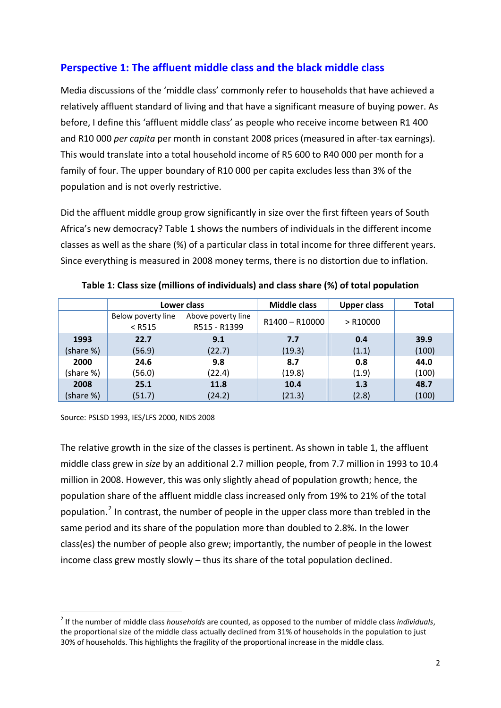### **Perspective 1: The affluent middle class and the black middle class**

Media discussions of the 'middle class' commonly refer to households that have achieved a relatively affluent standard of living and that have a significant measure of buying power. As before, I define this 'affluent middle class' as people who receive income between R1 400 and R10 000 *per capita* per month in constant 2008 prices (measured in after‐tax earnings). This would translate into a total household income of R5 600 to R40 000 per month for a family of four. The upper boundary of R10 000 per capita excludes less than 3% of the population and is not overly restrictive.

Did the affluent middle group grow significantly in size over the first fifteen years of South Africa's new democracy? Table 1 shows the numbers of individuals in the different income classes as well as the share (%) of a particular class in total income for three different years. Since everything is measured in 2008 money terms, there is no distortion due to inflation.

|           |                                | Lower class                        | <b>Middle class</b> | <b>Upper class</b> | <b>Total</b> |
|-----------|--------------------------------|------------------------------------|---------------------|--------------------|--------------|
|           | Below poverty line<br>$<$ R515 | Above poverty line<br>R515 - R1399 | R1400 - R10000      | $>$ R10000         |              |
| 1993      | 22.7                           | 9.1                                | 7.7                 | 0.4                | 39.9         |
| (share %) | (56.9)                         | (22.7)                             | (19.3)              | (1.1)              | (100)        |
| 2000      | 24.6                           | 9.8                                | 8.7                 | 0.8                | 44.0         |
| (share %) | (56.0)                         | (22.4)                             | (19.8)              | (1.9)              | (100)        |
| 2008      | 25.1                           | 11.8                               | 10.4                | 1.3                | 48.7         |
| (share %) | (51.7)                         | (24.2)                             | (21.3)              | (2.8)              | (100)        |

**Table 1: Class size (millions of individuals) and class share (%) of total population**

Source: PSLSD 1993, IES/LFS 2000, NIDS 2008

The relative growth in the size of the classes is pertinent. As shown in table 1, the affluent middle class grew in *size* by an additional 2.7 million people, from 7.7 million in 1993 to 10.4 million in 2008. However, this was only slightly ahead of population growth; hence, the population share of the affluent middle class increased only from 19% to 21% of the total population.<sup>[2](#page-1-0)</sup> In contrast, the number of people in the upper class more than trebled in the same period and its share of the population more than doubled to 2.8%. In the lower class(es) the number of people also grew; importantly, the number of people in the lowest income class grew mostly slowly – thus its share of the total population declined.

<span id="page-1-0"></span><sup>2</sup> If the number of middle class *households* are counted, as opposed to the number of middle class *individuals*, the proportional size of the middle class actually declined from 31% of households in the population to just 30% of households. This highlights the fragility of the proportional increase in the middle class.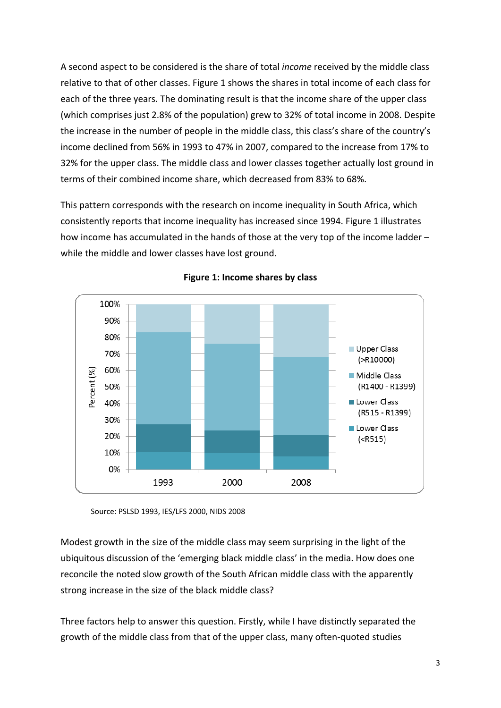A second aspect to be considered is the share of total *income* received by the middle class relative to that of other classes. Figure 1 shows the shares in total income of each class for each of the three years. The dominating result is that the income share of the upper class (which comprises just 2.8% of the population) grew to 32% of total income in 2008. Despite the increase in the number of people in the middle class, this class's share of the country's income declined from 56% in 1993 to 47% in 2007, compared to the increase from 17% to 32% for the upper class. The middle class and lower classes together actually lost ground in terms of their combined income share, which decreased from 83% to 68%.

This pattern corresponds with the research on income inequality in South Africa, which consistently reports that income inequality has increased since 1994. Figure 1 illustrates how income has accumulated in the hands of those at the very top of the income ladder – while the middle and lower classes have lost ground.



**Figure 1: Income shares by class** 

Source: PSLSD 1993, IES/LFS 2000, NIDS 2008

Modest growth in the size of the middle class may seem surprising in the light of the ubiquitous discussion of the 'emerging black middle class' in the media. How does one reconcile the noted slow growth of the South African middle class with the apparently strong increase in the size of the black middle class?

Three factors help to answer this question. Firstly, while I have distinctly separated the growth of the middle class from that of the upper class, many often‐quoted studies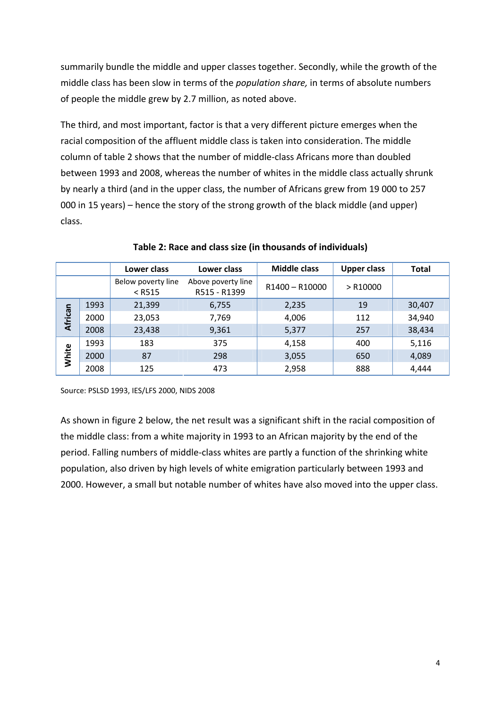summarily bundle the middle and upper classes together. Secondly, while the growth of the middle class has been slow in terms of the *population share,* in terms of absolute numbers of people the middle grew by 2.7 million, as noted above.

The third, and most important, factor is that a very different picture emerges when the racial composition of the affluent middle class is taken into consideration. The middle column of table 2 shows that the number of middle‐class Africans more than doubled between 1993 and 2008, whereas the number of whites in the middle class actually shrunk by nearly a third (and in the upper class, the number of Africans grew from 19 000 to 257 000 in 15 years) – hence the story of the strong growth of the black middle (and upper) class.

|         |      | Lower class                    | Lower class                        | <b>Middle class</b> | <b>Upper class</b> | <b>Total</b> |
|---------|------|--------------------------------|------------------------------------|---------------------|--------------------|--------------|
|         |      | Below poverty line<br>$<$ R515 | Above poverty line<br>R515 - R1399 | R1400 - R10000      | $>$ R10000         |              |
| African | 1993 | 21,399                         | 6,755                              | 2,235               | 19                 | 30,407       |
|         | 2000 | 23,053                         | 7,769                              | 4,006               | 112                | 34,940       |
|         | 2008 | 23,438                         | 9,361                              | 5,377               | 257                | 38,434       |
| White   | 1993 | 183                            | 375                                | 4,158               | 400                | 5,116        |
|         | 2000 | 87                             | 298                                | 3,055               | 650                | 4,089        |
|         | 2008 | 125                            | 473                                | 2,958               | 888                | 4,444        |

#### **Table 2: Race and class size (in thousands of individuals)**

Source: PSLSD 1993, IES/LFS 2000, NIDS 2008

As shown in figure 2 below, the net result was a significant shift in the racial composition of the middle class: from a white majority in 1993 to an African majority by the end of the period. Falling numbers of middle‐class whites are partly a function of the shrinking white population, also driven by high levels of white emigration particularly between 1993 and 2000. However, a small but notable number of whites have also moved into the upper class.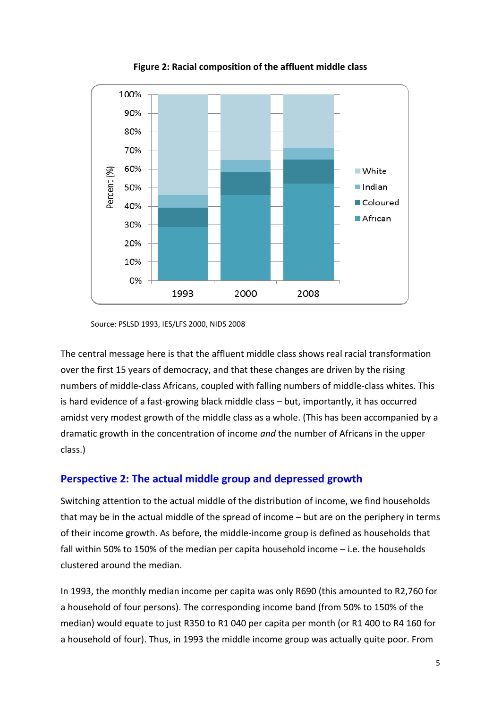

**Figure 2: Racial composition of the affluent middle class**

The central message here is that the affluent middle class shows real racial transformation over the first 15 years of democracy, and that these changes are driven by the rising numbers of middle‐class Africans, coupled with falling numbers of middle‐class whites. This is hard evidence of a fast‐growing black middle class – but, importantly, it has occurred amidst very modest growth of the middle class as a whole. (This has been accompanied by a dramatic growth in the concentration of income *and* the number of Africans in the upper class.)

#### **Perspective 2: The actual middle group and depressed growth**

Switching attention to the actual middle of the distribution of income, we find households that may be in the actual middle of the spread of income – but are on the periphery in terms of their income growth. As before, the middle‐income group is defined as households that fall within 50% to 150% of the median per capita household income – i.e. the households clustered around the median.

In 1993, the monthly median income per capita was only R690 (this amounted to R2,760 for a household of four persons). The corresponding income band (from 50% to 150% of the median) would equate to just R350 to R1 040 per capita per month (or R1 400 to R4 160 for a household of four). Thus, in 1993 the middle income group was actually quite poor. From

Source: PSLSD 1993, IES/LFS 2000, NIDS 2008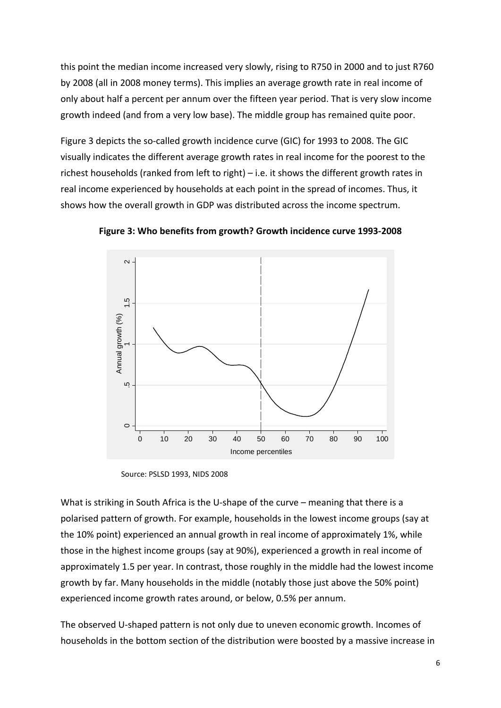this point the median income increased very slowly, rising to R750 in 2000 and to just R760 by 2008 (all in 2008 money terms). This implies an average growth rate in real income of only about half a percent per annum over the fifteen year period. That is very slow income growth indeed (and from a very low base). The middle group has remained quite poor.

Figure 3 depicts the so‐called growth incidence curve (GIC) for 1993 to 2008. The GIC visually indicates the different average growth rates in real income for the poorest to the richest households (ranked from left to right) – i.e. it shows the different growth rates in real income experienced by households at each point in the spread of incomes. Thus, it shows how the overall growth in GDP was distributed across the income spectrum.



**Figure 3: Who benefits from growth? Growth incidence curve 1993‐2008**

Source: PSLSD 1993, NIDS 2008

What is striking in South Africa is the U-shape of the curve – meaning that there is a polarised pattern of growth. For example, households in the lowest income groups (say at the 10% point) experienced an annual growth in real income of approximately 1%, while those in the highest income groups (say at 90%), experienced a growth in real income of approximately 1.5 per year. In contrast, those roughly in the middle had the lowest income growth by far. Many households in the middle (notably those just above the 50% point) experienced income growth rates around, or below, 0.5% per annum.

The observed U‐shaped pattern is not only due to uneven economic growth. Incomes of households in the bottom section of the distribution were boosted by a massive increase in